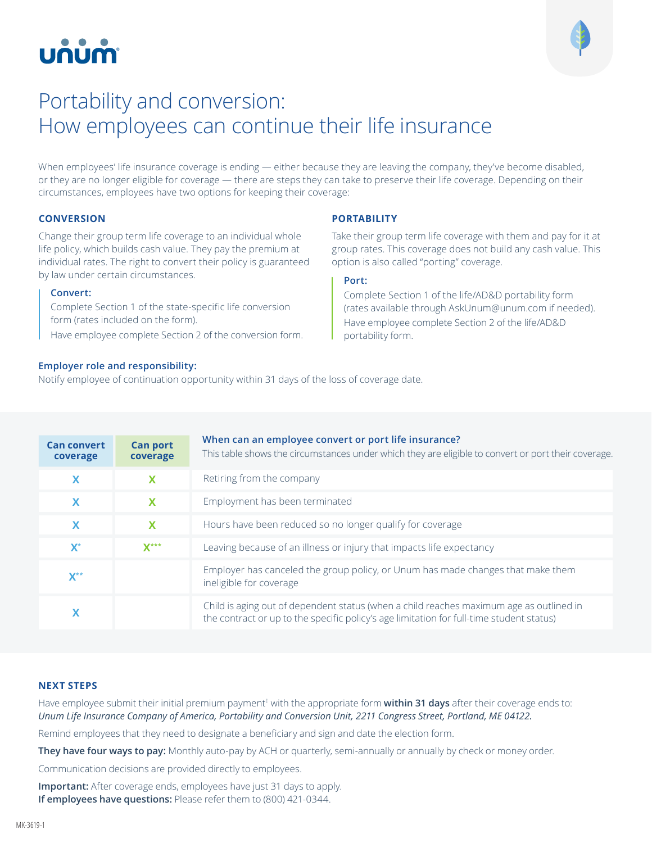# บกบท



# Portability and conversion: How employees can continue their life insurance

When employees' life insurance coverage is ending — either because they are leaving the company, they've become disabled, or they are no longer eligible for coverage — there are steps they can take to preserve their life coverage. Depending on their circumstances, employees have two options for keeping their coverage:

**PORTABILITY**

**Port:**

portability form.

Take their group term life coverage with them and pay for it at group rates. This coverage does not build any cash value. This

Complete Section 1 of the life/AD&D portability form (rates available through AskUnum@unum.com if needed). Have employee complete Section 2 of the life/AD&D

option is also called "porting" coverage.

## **CONVERSION**

Change their group term life coverage to an individual whole life policy, which builds cash value. They pay the premium at individual rates. The right to convert their policy is guaranteed by law under certain circumstances.

#### **Convert:**

Complete Section 1 of the state-specific life conversion form (rates included on the form).

Have employee complete Section 2 of the conversion form.

### **Employer role and responsibility:**

Notify employee of continuation opportunity within 31 days of the loss of coverage date.

| <b>Can convert</b><br>coverage | <b>Can port</b><br>coverage | When can an employee convert or port life insurance?<br>This table shows the circumstances under which they are eligible to convert or port their coverage.                         |
|--------------------------------|-----------------------------|-------------------------------------------------------------------------------------------------------------------------------------------------------------------------------------|
| X                              | $\boldsymbol{\mathsf{x}}$   | Retiring from the company                                                                                                                                                           |
| $\boldsymbol{\mathsf{x}}$      | $\mathbf x$                 | Employment has been terminated                                                                                                                                                      |
| $\mathbf x$                    | $\mathbf x$                 | Hours have been reduced so no longer qualify for coverage                                                                                                                           |
| $\mathbf{X}^*$                 | $X***$                      | Leaving because of an illness or injury that impacts life expectancy                                                                                                                |
| $V^{\star\star}$               |                             | Employer has canceled the group policy, or Unum has made changes that make them<br>ineligible for coverage                                                                          |
|                                |                             | Child is aging out of dependent status (when a child reaches maximum age as outlined in<br>the contract or up to the specific policy's age limitation for full-time student status) |

# **NEXT STEPS**

Have employee submit their initial premium payment† with the appropriate form **within 31 days** after their coverage ends to: *Unum Life Insurance Company of America, Portability and Conversion Unit, 2211 Congress Street, Portland, ME 04122.*

Remind employees that they need to designate a beneficiary and sign and date the election form.

**They have four ways to pay:** Monthly auto-pay by ACH or quarterly, semi-annually or annually by check or money order.

Communication decisions are provided directly to employees.

**Important:** After coverage ends, employees have just 31 days to apply. **If employees have questions:** Please refer them to (800) 421-0344.